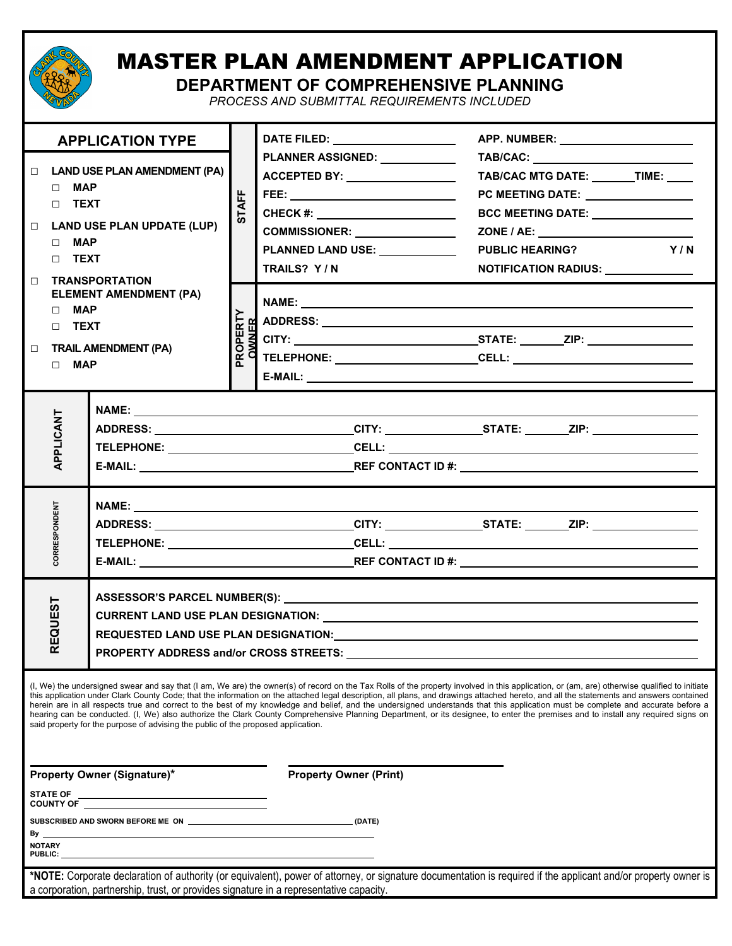

## MASTER PLAN AMENDMENT APPLICATION

**DEPARTMENT OF COMPREHENSIVE PLANNING**

*PROCESS AND SUBMITTAL REQUIREMENTS INCLUDED*

| <b>APPLICATION TYPE</b>                                                                                                                                                                                                                                                                                                                                                                                                                                                                                                                                                                                                                                                                                                                                                                                                                              |                                                                                                                                                                                                                                                                        |                                               |                                                                                                                | DATE FILED: ____________________                                                                                                                                                                                                 |                                                                                                                                                                                    |  |  |  |  |  |  |
|------------------------------------------------------------------------------------------------------------------------------------------------------------------------------------------------------------------------------------------------------------------------------------------------------------------------------------------------------------------------------------------------------------------------------------------------------------------------------------------------------------------------------------------------------------------------------------------------------------------------------------------------------------------------------------------------------------------------------------------------------------------------------------------------------------------------------------------------------|------------------------------------------------------------------------------------------------------------------------------------------------------------------------------------------------------------------------------------------------------------------------|-----------------------------------------------|----------------------------------------------------------------------------------------------------------------|----------------------------------------------------------------------------------------------------------------------------------------------------------------------------------------------------------------------------------|------------------------------------------------------------------------------------------------------------------------------------------------------------------------------------|--|--|--|--|--|--|
| $\Box$<br>$\Box$<br>$\Box$<br>$\Box$                                                                                                                                                                                                                                                                                                                                                                                                                                                                                                                                                                                                                                                                                                                                                                                                                 | <b>LAND USE PLAN AMENDMENT (PA)</b><br>$\Box$ MAP<br>$\Box$ TEXT<br><b>LAND USE PLAN UPDATE (LUP)</b><br>$\Box$ MAP<br>$\Box$ TEXT<br><b>TRANSPORTATION</b><br><b>ELEMENT AMENDMENT (PA)</b><br>$\Box$ MAP<br>$\Box$ TEXT<br><b>TRAIL AMENDMENT (PA)</b><br>$\Box$ MAP |                                               | <b>STAFF</b><br>PROPERTY<br><b>OWNER</b>                                                                       | PLANNER ASSIGNED: NAMEL ASSIGNED:<br>ACCEPTED BY: _________________<br>FEE: ______________________________<br>CHECK #: ______________________<br>COMMISSIONER: _______________<br>PLANNED LAND USE: _____________<br>TRAILS? Y/N | TAB/CAC MTG DATE: ______TIME: ____<br>PC MEETING DATE: ________________<br>BCC MEETING DATE: _______________<br>Y/N<br><b>PUBLIC HEARING?</b><br>NOTIFICATION RADIUS: ____________ |  |  |  |  |  |  |
| APPLICANT                                                                                                                                                                                                                                                                                                                                                                                                                                                                                                                                                                                                                                                                                                                                                                                                                                            |                                                                                                                                                                                                                                                                        |                                               |                                                                                                                |                                                                                                                                                                                                                                  | ADDRESS: _______________________________CITY: _______________STATE: _______ZIP: ___________________                                                                                |  |  |  |  |  |  |
| CORRESPONDENT                                                                                                                                                                                                                                                                                                                                                                                                                                                                                                                                                                                                                                                                                                                                                                                                                                        |                                                                                                                                                                                                                                                                        |                                               |                                                                                                                |                                                                                                                                                                                                                                  |                                                                                                                                                                                    |  |  |  |  |  |  |
|                                                                                                                                                                                                                                                                                                                                                                                                                                                                                                                                                                                                                                                                                                                                                                                                                                                      | <b>REQUEST</b>                                                                                                                                                                                                                                                         | <b>PROPERTY ADDRESS and/or CROSS STREETS:</b> | REQUESTED LAND USE PLAN DESIGNATION: North and the contract of the contract of the contract of the contract of |                                                                                                                                                                                                                                  |                                                                                                                                                                                    |  |  |  |  |  |  |
| (I, We) the undersigned swear and say that (I am, We are) the owner(s) of record on the Tax Rolls of the property involved in this application, or (am, are) otherwise qualified to initiate<br>this application under Clark County Code; that the information on the attached legal description, all plans, and drawings attached hereto, and all the statements and answers contained<br>herein are in all respects true and correct to the best of my knowledge and belief, and the undersigned understands that this application must be complete and accurate before a<br>hearing can be conducted. (I, We) also authorize the Clark County Comprehensive Planning Department, or its designee, to enter the premises and to install any required signs on<br>said property for the purpose of advising the public of the proposed application. |                                                                                                                                                                                                                                                                        |                                               |                                                                                                                |                                                                                                                                                                                                                                  |                                                                                                                                                                                    |  |  |  |  |  |  |
| <b>Property Owner (Signature)*</b><br><b>STATE OF</b>                                                                                                                                                                                                                                                                                                                                                                                                                                                                                                                                                                                                                                                                                                                                                                                                |                                                                                                                                                                                                                                                                        |                                               |                                                                                                                | <b>Property Owner (Print)</b>                                                                                                                                                                                                    |                                                                                                                                                                                    |  |  |  |  |  |  |
| By _<br><b>NOTARY</b>                                                                                                                                                                                                                                                                                                                                                                                                                                                                                                                                                                                                                                                                                                                                                                                                                                |                                                                                                                                                                                                                                                                        |                                               |                                                                                                                |                                                                                                                                                                                                                                  |                                                                                                                                                                                    |  |  |  |  |  |  |
|                                                                                                                                                                                                                                                                                                                                                                                                                                                                                                                                                                                                                                                                                                                                                                                                                                                      | PUBLIC:<br>*NOTE: Corporate declaration of authority (or equivalent), power of attorney, or signature documentation is required if the applicant and/or property owner is                                                                                              |                                               |                                                                                                                |                                                                                                                                                                                                                                  |                                                                                                                                                                                    |  |  |  |  |  |  |

a corporation, partnership, trust, or provides signature in a representative capacity.